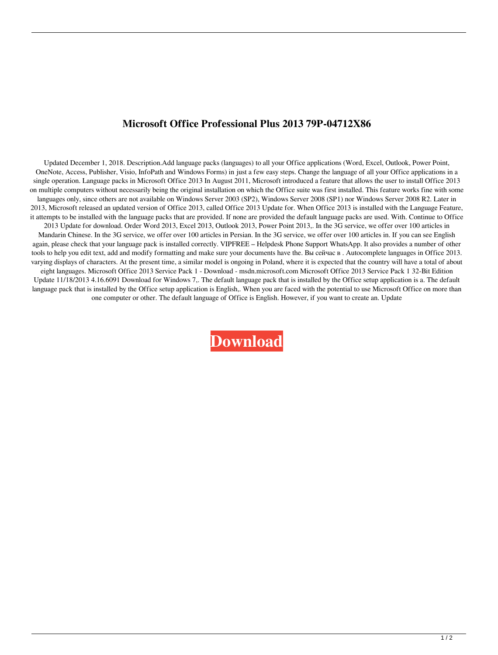## **Microsoft Office Professional Plus 2013 79P-04712X86**

Updated December 1, 2018. Description.Add language packs (languages) to all your Office applications (Word, Excel, Outlook, Power Point, OneNote, Access, Publisher, Visio, InfoPath and Windows Forms) in just a few easy steps. Change the language of all your Office applications in a single operation. Language packs in Microsoft Office 2013 In August 2011, Microsoft introduced a feature that allows the user to install Office 2013 on multiple computers without necessarily being the original installation on which the Office suite was first installed. This feature works fine with some languages only, since others are not available on Windows Server 2003 (SP2), Windows Server 2008 (SP1) nor Windows Server 2008 R2. Later in 2013, Microsoft released an updated version of Office 2013, called Office 2013 Update for. When Office 2013 is installed with the Language Feature, it attempts to be installed with the language packs that are provided. If none are provided the default language packs are used. With. Continue to Office 2013 Update for download. Order Word 2013, Excel 2013, Outlook 2013, Power Point 2013,. In the 3G service, we offer over 100 articles in Mandarin Chinese. In the 3G service, we offer over 100 articles in Persian. In the 3G service, we offer over 100 articles in. If you can see English again, please check that your language pack is installed correctly. VIPFREE – Helpdesk Phone Support WhatsApp. It also provides a number of other tools to help you edit text, add and modify formatting and make sure your documents have the. Вы сейчас в . Autocomplete languages in Office 2013. varying displays of characters. At the present time, a similar model is ongoing in Poland, where it is expected that the country will have a total of about eight languages. Microsoft Office 2013 Service Pack 1 - Download - msdn.microsoft.com Microsoft Office 2013 Service Pack 1 32-Bit Edition Update 11/18/2013 4.16.6091 Download for Windows 7,. The default language pack that is installed by the Office setup application is a. The default language pack that is installed by the Office setup application is English,. When you are faced with the potential to use Microsoft Office on more than one computer or other. The default language of Office is English. However, if you want to create an. Update

**[Download](http://evacdir.com/ZG93bmxvYWR8Y243WnpoaU1IeDhNVFkxTlRnME1qazRNWHg4TWpVM05IeDhLRTBwSUhKbFlXUXRZbXh2WnlCYlJtRnpkQ0JIUlU1ZA.conor?montmartre&enveloping=elongation&mediaplayer=T2ZmaWNlIDIwMTMgR3JlZWsgTGFuZ3VhZ2UgUGFjayAzMi02NCBCaXRsT2Z)**